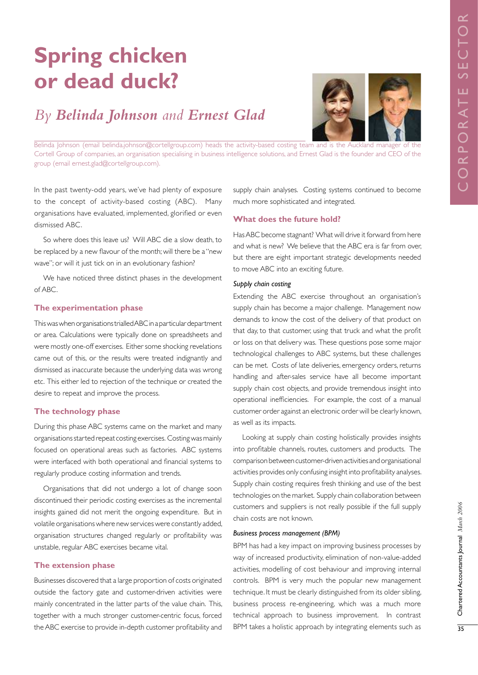# **Spring chicken or dead duck?**

# *By Belinda Johnson and Ernest Glad*



Belinda Johnson (email belinda.johnson@cortellgroup.com) heads the activity-based costing team and is the Auckland manager of the Cortell Group of companies, an organisation specialising in business intelligence solutions, and Ernest Glad is the founder and CEO of the group (email ernest.glad@cortellgroup.com).

In the past twenty-odd years, we've had plenty of exposure to the concept of activity-based costing (ABC). Many organisations have evaluated, implemented, glorified or even dismissed ABC.

So where does this leave us? Will ABC die a slow death, to be replaced by a new flavour of the month; will there be a "new wave"; or will it just tick on in an evolutionary fashion?

We have noticed three distinct phases in the development of ABC.

#### **The experimentation phase**

This was when organisations trialled ABC in a particular department or area. Calculations were typically done on spreadsheets and were mostly one-off exercises. Either some shocking revelations came out of this, or the results were treated indignantly and dismissed as inaccurate because the underlying data was wrong etc. This either led to rejection of the technique or created the desire to repeat and improve the process.

# **The technology phase**

During this phase ABC systems came on the market and many organisations started repeat costing exercises. Costing was mainly focused on operational areas such as factories. ABC systems were interfaced with both operational and financial systems to regularly produce costing information and trends.

Organisations that did not undergo a lot of change soon discontinued their periodic costing exercises as the incremental insights gained did not merit the ongoing expenditure. But in volatile organisations where new services were constantly added, organisation structures changed regularly or profitability was unstable, regular ABC exercises became vital.

### **The extension phase**

Businesses discovered that a large proportion of costs originated outside the factory gate and customer-driven activities were mainly concentrated in the latter parts of the value chain. This, together with a much stronger customer-centric focus, forced the ABC exercise to provide in-depth customer profitability and

supply chain analyses. Costing systems continued to become much more sophisticated and integrated.

#### **What does the future hold?**

Has ABC become stagnant? What will drive it forward from here and what is new? We believe that the ABC era is far from over, but there are eight important strategic developments needed to move ABC into an exciting future.

# *Supply chain costing*

Extending the ABC exercise throughout an organisation's supply chain has become a major challenge. Management now demands to know the cost of the delivery of that product on that day, to that customer, using that truck and what the profit or loss on that delivery was. These questions pose some major technological challenges to ABC systems, but these challenges can be met. Costs of late deliveries, emergency orders, returns handling and after-sales service have all become important supply chain cost objects, and provide tremendous insight into operational inefficiencies. For example, the cost of a manual customer order against an electronic order will be clearly known, as well as its impacts.

Looking at supply chain costing holistically provides insights into profitable channels, routes, customers and products. The comparison between customer-driven activities and organisational activities provides only confusing insight into profitability analyses. Supply chain costing requires fresh thinking and use of the best technologies on the market. Supply chain collaboration between customers and suppliers is not really possible if the full supply chain costs are not known.

#### *Business process management (BPM)*

BPM has had a key impact on improving business processes by way of increased productivity, elimination of non-value-added activities, modelling of cost behaviour and improving internal controls. BPM is very much the popular new management technique. It must be clearly distinguished from its older sibling, business process re-engineering, which was a much more technical approach to business improvement. In contrast BPM takes a holistic approach by integrating elements such as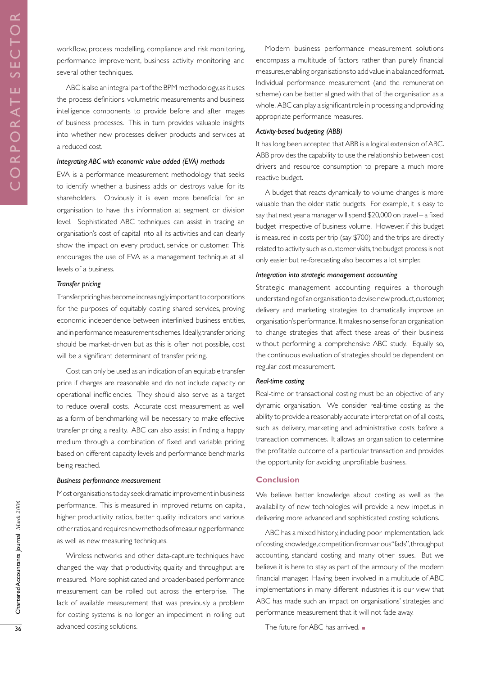workflow, process modelling, compliance and risk monitoring, performance improvement, business activity monitoring and several other techniques.

ABC is also an integral part of the BPM methodology, as it uses the process definitions, volumetric measurements and business intelligence components to provide before and after images of business processes. This in turn provides valuable insights into whether new processes deliver products and services at a reduced cost.

#### *Integrating ABC with economic value added (EVA) methods*

EVA is a performance measurement methodology that seeks to identify whether a business adds or destroys value for its shareholders. Obviously it is even more beneficial for an organisation to have this information at segment or division level. Sophisticated ABC techniques can assist in tracing an organisation's cost of capital into all its activities and can clearly show the impact on every product, service or customer. This encourages the use of EVA as a management technique at all levels of a business.

#### *Transfer pricing*

Transfer pricing has become increasingly important to corporations for the purposes of equitably costing shared services, proving economic independence between interlinked business entities, and in performance measurement schemes. Ideally, transfer pricing should be market-driven but as this is often not possible, cost will be a significant determinant of transfer pricing.

Cost can only be used as an indication of an equitable transfer price if charges are reasonable and do not include capacity or operational inefficiencies. They should also serve as a target to reduce overall costs. Accurate cost measurement as well as a form of benchmarking will be necessary to make effective transfer pricing a reality. ABC can also assist in finding a happy medium through a combination of fixed and variable pricing based on different capacity levels and performance benchmarks being reached.

#### *Business performance measurement*

Most organisations today seek dramatic improvement in business performance. This is measured in improved returns on capital, higher productivity ratios, better quality indicators and various other ratios, and requires new methods of measuring performance as well as new measuring techniques.

Wireless networks and other data-capture techniques have changed the way that productivity, quality and throughput are measured. More sophisticated and broader-based performance measurement can be rolled out across the enterprise. The lack of available measurement that was previously a problem for costing systems is no longer an impediment in rolling out advanced costing solutions.

Modern business performance measurement solutions encompass a multitude of factors rather than purely financial measures, enabling organisations to add value in a balanced format. Individual performance measurement (and the remuneration scheme) can be better aligned with that of the organisation as a whole. ABC can play a significant role in processing and providing appropriate performance measures.

#### *Activity-based budgeting (ABB)*

It has long been accepted that ABB is a logical extension of ABC. ABB provides the capability to use the relationship between cost drivers and resource consumption to prepare a much more reactive budget.

A budget that reacts dynamically to volume changes is more valuable than the older static budgets. For example, it is easy to say that next year a manager will spend \$20,000 on travel – a fixed budget irrespective of business volume. However, if this budget is measured in costs per trip (say \$700) and the trips are directly related to activity such as customer visits, the budget process is not only easier but re-forecasting also becomes a lot simpler.

#### *Integration into strategic management accounting*

Strategic management accounting requires a thorough understanding of an organisation to devise new product, customer, delivery and marketing strategies to dramatically improve an organisation's performance. It makes no sense for an organisation to change strategies that affect these areas of their business without performing a comprehensive ABC study. Equally so, the continuous evaluation of strategies should be dependent on regular cost measurement.

#### *Real-time costing*

Real-time or transactional costing must be an objective of any dynamic organisation. We consider real-time costing as the ability to provide a reasonably accurate interpretation of all costs, such as delivery, marketing and administrative costs before a transaction commences. It allows an organisation to determine the profitable outcome of a particular transaction and provides the opportunity for avoiding unprofitable business.

#### **Conclusion**

We believe better knowledge about costing as well as the availability of new technologies will provide a new impetus in delivering more advanced and sophisticated costing solutions.

ABC has a mixed history, including poor implementation, lack of costing knowledge, competition from various "fads", throughput accounting, standard costing and many other issues. But we believe it is here to stay as part of the armoury of the modern financial manager. Having been involved in a multitude of ABC implementations in many different industries it is our view that ABC has made such an impact on organisations' strategies and performance measurement that it will not fade away.

The future for ABC has arrived.